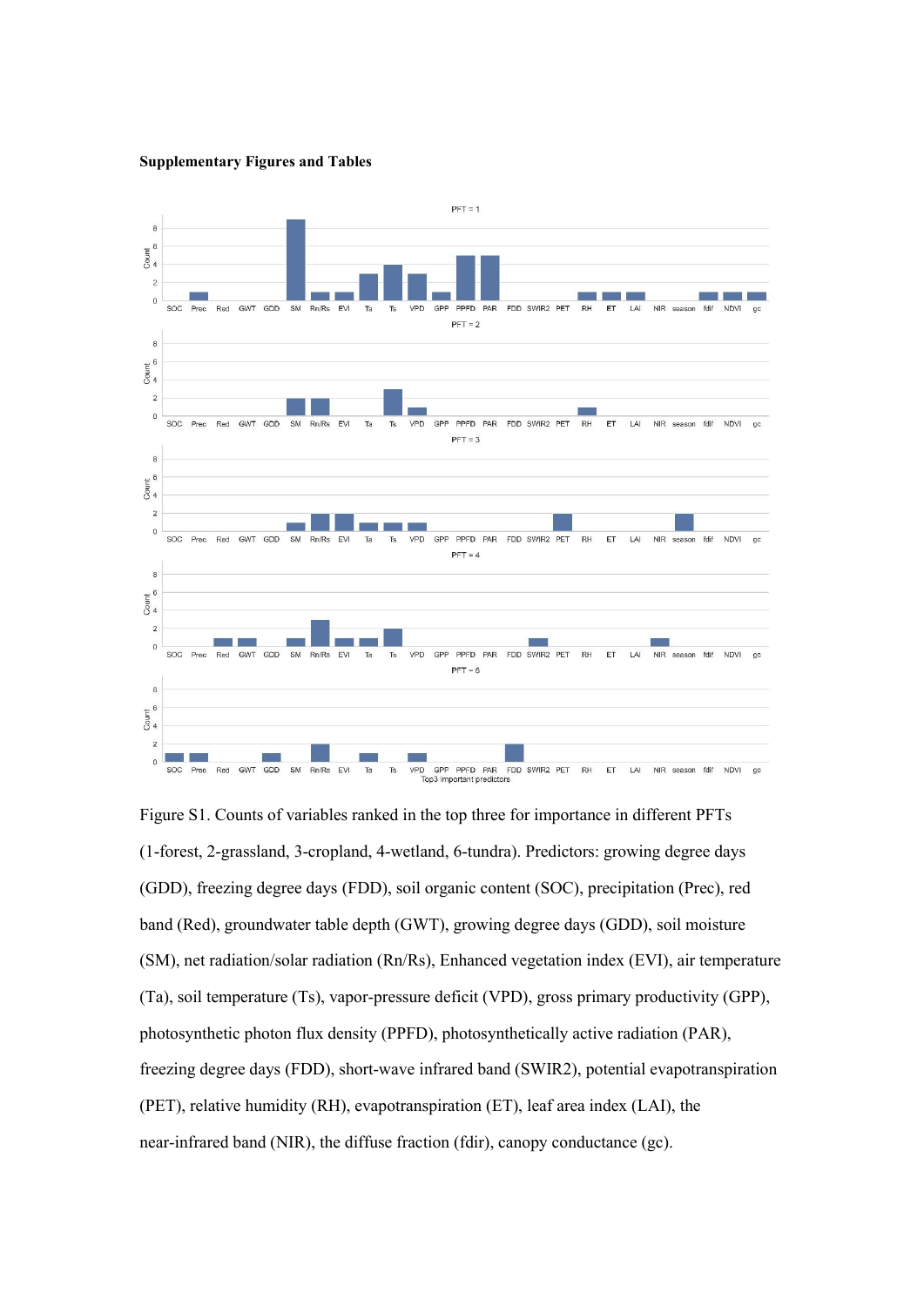**Supplementary Figures and Tables**



Figure S1. Counts of variables ranked in the top three for importance in different PFTs (1-forest, 2-grassland, 3-cropland, 4-wetland, 6-tundra). Predictors: growing degree days (GDD), freezing degree days (FDD), soil organic content(SOC), precipitation (Prec), red band (Red), groundwater table depth (GWT), growing degree days (GDD), soil moisture (SM), net radiation/solar radiation (Rn/Rs), Enhanced vegetation index (EVI), air temperature (Ta), soil temperature (Ts), vapor-pressure deficit (VPD), gross primary productivity (GPP), photosynthetic photon flux density (PPFD), photosynthetically active radiation (PAR), freezing degree days (FDD), short-wave infrared band (SWIR2), potential evapotranspiration (PET), relative humidity (RH), evapotranspiration (ET), leaf area index (LAI), the near-infrared band (NIR), the diffuse fraction (fdir), canopy conductance (gc).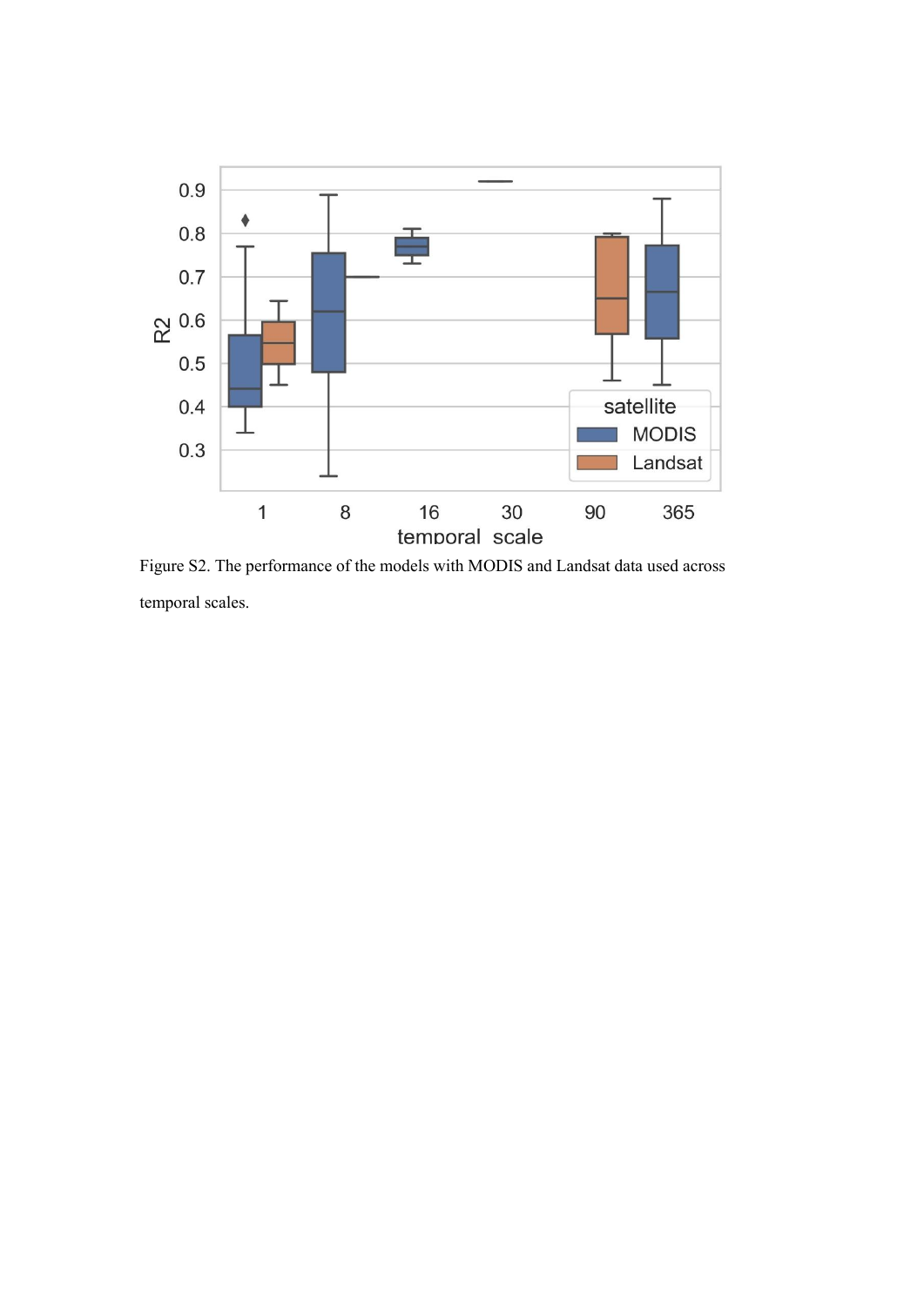

Figure S2. The performance of the models with MODIS and Landsat data used across temporal scales.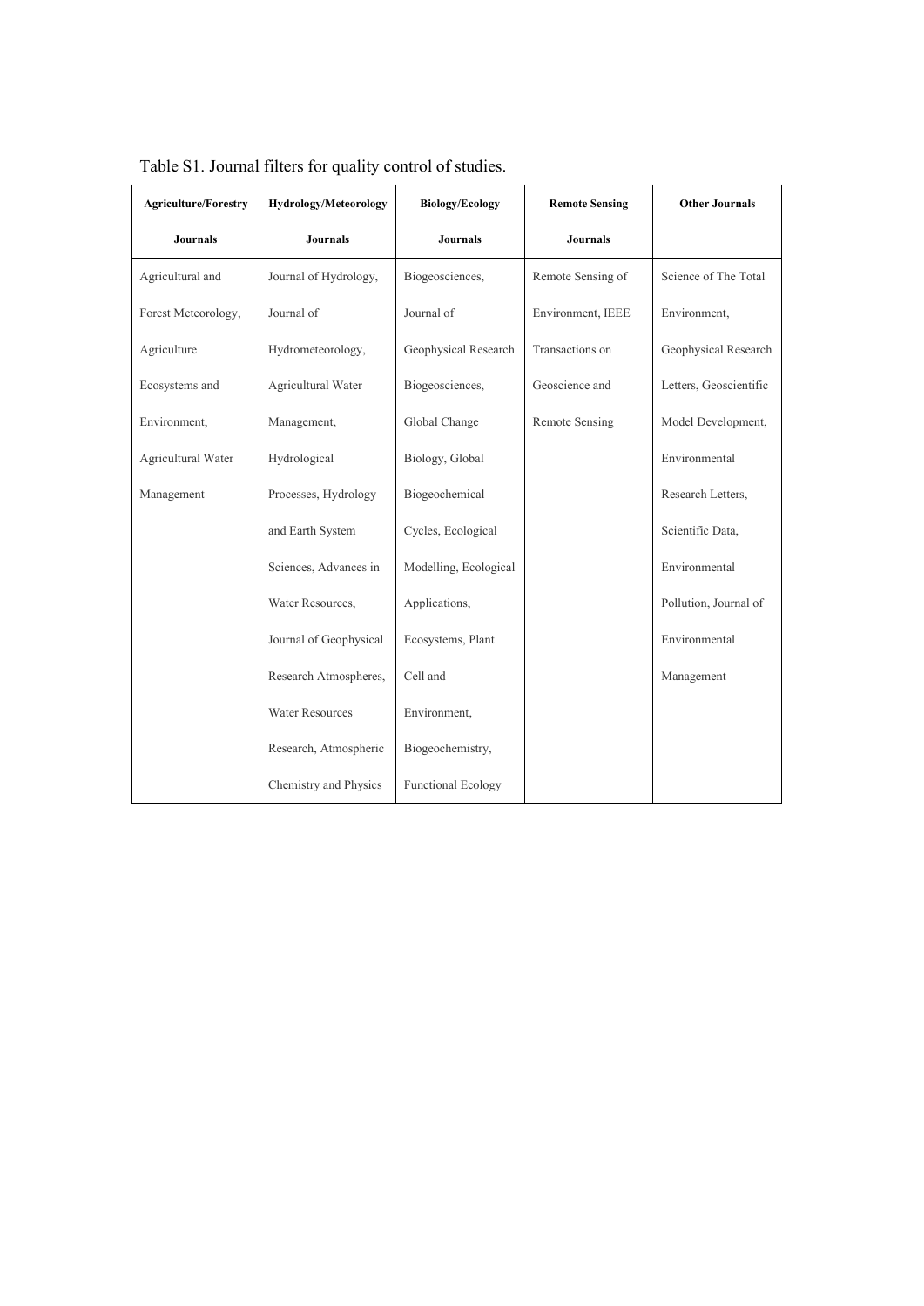| <b>Agriculture/Forestry</b> | <b>Hydrology/Meteorology</b> | <b>Biology/Ecology</b>    | <b>Remote Sensing</b> | <b>Other Journals</b>  |
|-----------------------------|------------------------------|---------------------------|-----------------------|------------------------|
| <b>Journals</b>             | <b>Journals</b>              | <b>Journals</b>           | <b>Journals</b>       |                        |
| Agricultural and            | Journal of Hydrology,        | Biogeosciences,           | Remote Sensing of     | Science of The Total   |
| Forest Meteorology,         | Journal of                   | Journal of                | Environment, IEEE     | Environment,           |
| Agriculture                 | Hydrometeorology,            | Geophysical Research      | Transactions on       | Geophysical Research   |
| Ecosystems and              | Agricultural Water           | Biogeosciences,           | Geoscience and        | Letters, Geoscientific |
| Environment,                | Management,                  | Global Change             | <b>Remote Sensing</b> | Model Development,     |
| Agricultural Water          | Hydrological                 | Biology, Global           |                       | Environmental          |
| Management                  | Processes, Hydrology         | Biogeochemical            |                       | Research Letters,      |
|                             | and Earth System             | Cycles, Ecological        |                       | Scientific Data,       |
|                             | Sciences, Advances in        | Modelling, Ecological     |                       | Environmental          |
|                             | Water Resources,             | Applications,             |                       | Pollution, Journal of  |
|                             | Journal of Geophysical       | Ecosystems, Plant         |                       | Environmental          |
|                             | Research Atmospheres,        | Cell and                  |                       | Management             |
|                             | <b>Water Resources</b>       | Environment,              |                       |                        |
|                             | Research, Atmospheric        | Biogeochemistry,          |                       |                        |
|                             | Chemistry and Physics        | <b>Functional Ecology</b> |                       |                        |

Table S1. Journal filters for quality control of studies.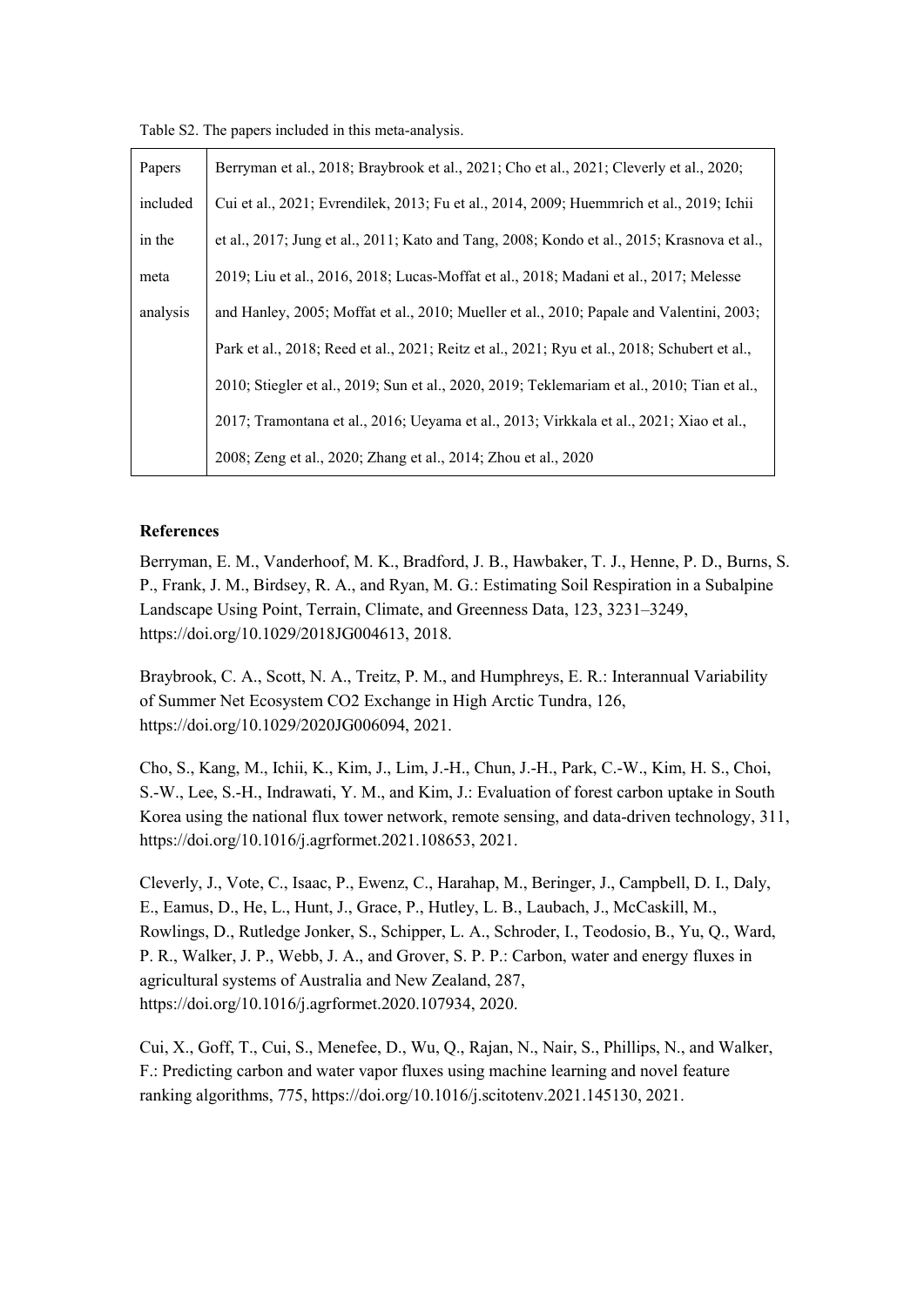Table S2. The papers included in this meta-analysis.

| Papers   | Berryman et al., 2018; Braybrook et al., 2021; Cho et al., 2021; Cleverly et al., 2020;      |  |  |
|----------|----------------------------------------------------------------------------------------------|--|--|
| included | Cui et al., 2021; Evrendilek, 2013; Fu et al., 2014, 2009; Huemmrich et al., 2019; Ichii     |  |  |
| in the   | et al., 2017; Jung et al., 2011; Kato and Tang, 2008; Kondo et al., 2015; Krasnova et al.,   |  |  |
| meta     | 2019; Liu et al., 2016, 2018; Lucas-Moffat et al., 2018; Madani et al., 2017; Melesse        |  |  |
| analysis | and Hanley, 2005; Moffat et al., 2010; Mueller et al., 2010; Papale and Valentini, 2003;     |  |  |
|          | Park et al., 2018; Reed et al., 2021; Reitz et al., 2021; Ryu et al., 2018; Schubert et al., |  |  |
|          | 2010; Stiegler et al., 2019; Sun et al., 2020, 2019; Teklemariam et al., 2010; Tian et al.,  |  |  |
|          | 2017; Tramontana et al., 2016; Ueyama et al., 2013; Virkkala et al., 2021; Xiao et al.,      |  |  |
|          | 2008; Zeng et al., 2020; Zhang et al., 2014; Zhou et al., 2020                               |  |  |

## **References**

Berryman, E. M., Vanderhoof, M. K., Bradford, J. B., Hawbaker, T. J., Henne, P. D., Burns, S. P., Frank, J. M., Birdsey, R. A., and Ryan, M. G.: Estimating Soil Respiration in a Subalpine Landscape Using Point, Terrain, Climate, and Greenness Data, 123, 3231–3249, https://doi.org/10.1029/2018JG004613, 2018.

Braybrook, C. A., Scott, N. A., Treitz, P. M., and Humphreys, E. R.: Interannual Variability of Summer Net Ecosystem CO2 Exchange in High Arctic Tundra, 126, https://doi.org/10.1029/2020JG006094, 2021.

Cho, S., Kang, M., Ichii, K., Kim, J., Lim, J.-H., Chun, J.-H., Park, C.-W., Kim, H. S., Choi, S.-W., Lee, S.-H., Indrawati, Y. M., and Kim, J.: Evaluation of forest carbon uptake in South Korea using the national flux tower network, remote sensing, and data-driven technology, 311, https://doi.org/10.1016/j.agrformet.2021.108653, 2021.

Cleverly, J., Vote, C., Isaac, P., Ewenz, C., Harahap, M., Beringer, J., Campbell, D. I., Daly, E., Eamus, D., He, L., Hunt, J., Grace, P., Hutley, L. B., Laubach, J., McCaskill, M., Rowlings, D., Rutledge Jonker, S., Schipper, L. A., Schroder, I., Teodosio, B., Yu, Q., Ward, P. R., Walker, J. P., Webb, J. A., and Grover, S. P. P.: Carbon, water and energy fluxes in agricultural systems of Australia and New Zealand, 287, https://doi.org/10.1016/j.agrformet.2020.107934, 2020.

Cui, X., Goff, T., Cui, S., Menefee, D., Wu, Q., Rajan, N., Nair, S., Phillips, N., and Walker, F.: Predicting carbon and water vapor fluxes using machine learning and novel feature ranking algorithms,775, https://doi.org/10.1016/j.scitotenv.2021.145130, 2021.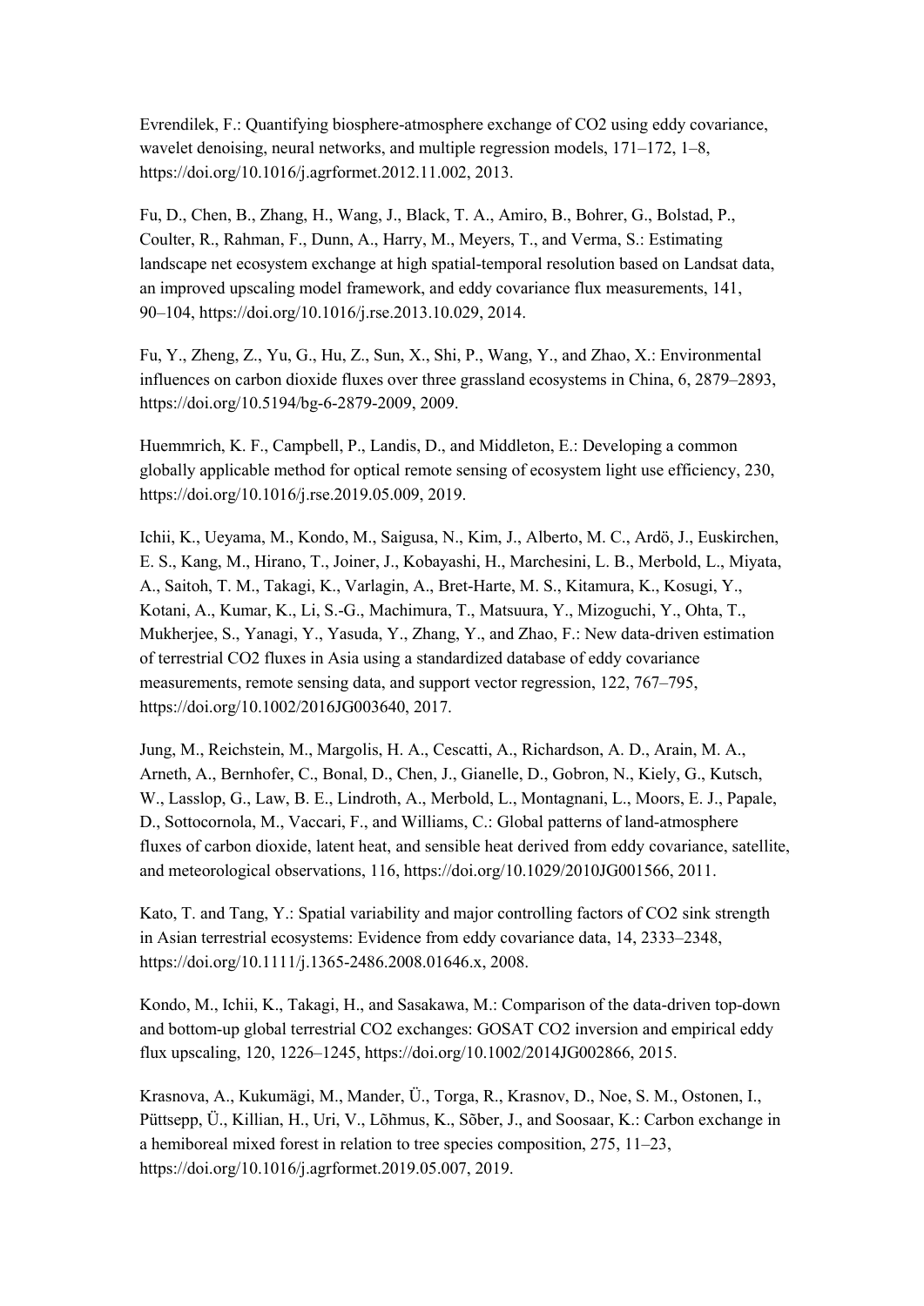Evrendilek, F.: Quantifying biosphere-atmosphere exchange of CO2 using eddy covariance, wavelet denoising, neural networks, and multiple regression models,  $171-172$ ,  $1-8$ , https://doi.org/10.1016/j.agrformet.2012.11.002, 2013.

Fu, D., Chen, B., Zhang, H., Wang, J., Black, T. A., Amiro, B., Bohrer, G., Bolstad, P., Coulter, R., Rahman, F., Dunn, A., Harry, M., Meyers, T., and Verma, S.: Estimating landscape net ecosystem exchange at high spatial-temporal resolution based on Landsat data, an improved upscaling model framework, and eddy covariance flux measurements, 141, 90–104, https://doi.org/10.1016/j.rse.2013.10.029, 2014.

Fu, Y., Zheng, Z., Yu, G., Hu, Z., Sun, X., Shi, P., Wang, Y., and Zhao, X.: Environmental influences on carbon dioxide fluxes over three grassland ecosystems in China, 6, 2879–2893, https://doi.org/10.5194/bg-6-2879-2009, 2009.

Huemmrich, K. F., Campbell, P., Landis, D., and Middleton, E.: Developing a common globally applicable method for optical remote sensing of ecosystem light use efficiency, 230, https://doi.org/10.1016/j.rse.2019.05.009, 2019.

Ichii, K., Ueyama, M., Kondo, M., Saigusa, N., Kim, J., Alberto, M. C., Ardö, J., Euskirchen, E. S., Kang, M., Hirano, T., Joiner, J., Kobayashi, H., Marchesini, L. B., Merbold, L., Miyata, A., Saitoh, T. M., Takagi, K., Varlagin, A., Bret-Harte, M. S., Kitamura, K., Kosugi, Y., Kotani, A., Kumar, K., Li, S.-G., Machimura, T., Matsuura, Y., Mizoguchi, Y., Ohta, T., Mukherjee, S., Yanagi, Y., Yasuda, Y., Zhang, Y., and Zhao, F.: New data-driven estimation of terrestrial CO2 fluxes in Asia using a standardized database of eddy covariance measurements, remote sensing data, and support vector regression, 122, 767–795, https://doi.org/10.1002/2016JG003640, 2017.

Jung, M., Reichstein, M., Margolis, H. A., Cescatti, A., Richardson, A. D., Arain, M. A., Arneth, A., Bernhofer, C., Bonal, D., Chen, J., Gianelle, D., Gobron, N., Kiely, G., Kutsch, W., Lasslop, G., Law, B. E., Lindroth, A., Merbold, L., Montagnani, L., Moors, E. J., Papale, D., Sottocornola, M., Vaccari, F., and Williams, C.: Global patterns of land-atmosphere fluxes of carbon dioxide, latent heat, and sensible heat derived from eddy covariance, satellite, and meteorological observations, 116, https://doi.org/10.1029/2010JG001566, 2011.

Kato, T. and Tang, Y.: Spatial variability and major controlling factors of CO2 sink strength in Asian terrestrial ecosystems: Evidence from eddy covariance data, 14,2333–2348, https://doi.org/10.1111/j.1365-2486.2008.01646.x, 2008.

Kondo, M., Ichii, K., Takagi, H., and Sasakawa, M.: Comparison of the data-driven top-down and bottom-up global terrestrial CO2 exchanges: GOSAT CO2 inversion and empirical eddy flux upscaling, 120, 1226–1245, https://doi.org/10.1002/2014JG002866, 2015.

Krasnova, A., Kukumägi, M., Mander, Ü., Torga, R., Krasnov, D., Noe, S. M., Ostonen, I., Püttsepp, Ü., Killian, H., Uri, V., Lõhmus, K., Sõber, J., and Soosaar, K.: Carbon exchange in a hemiboreal mixed forest in relation to tree species composition, 275, 11–23, https://doi.org/10.1016/j.agrformet.2019.05.007, 2019.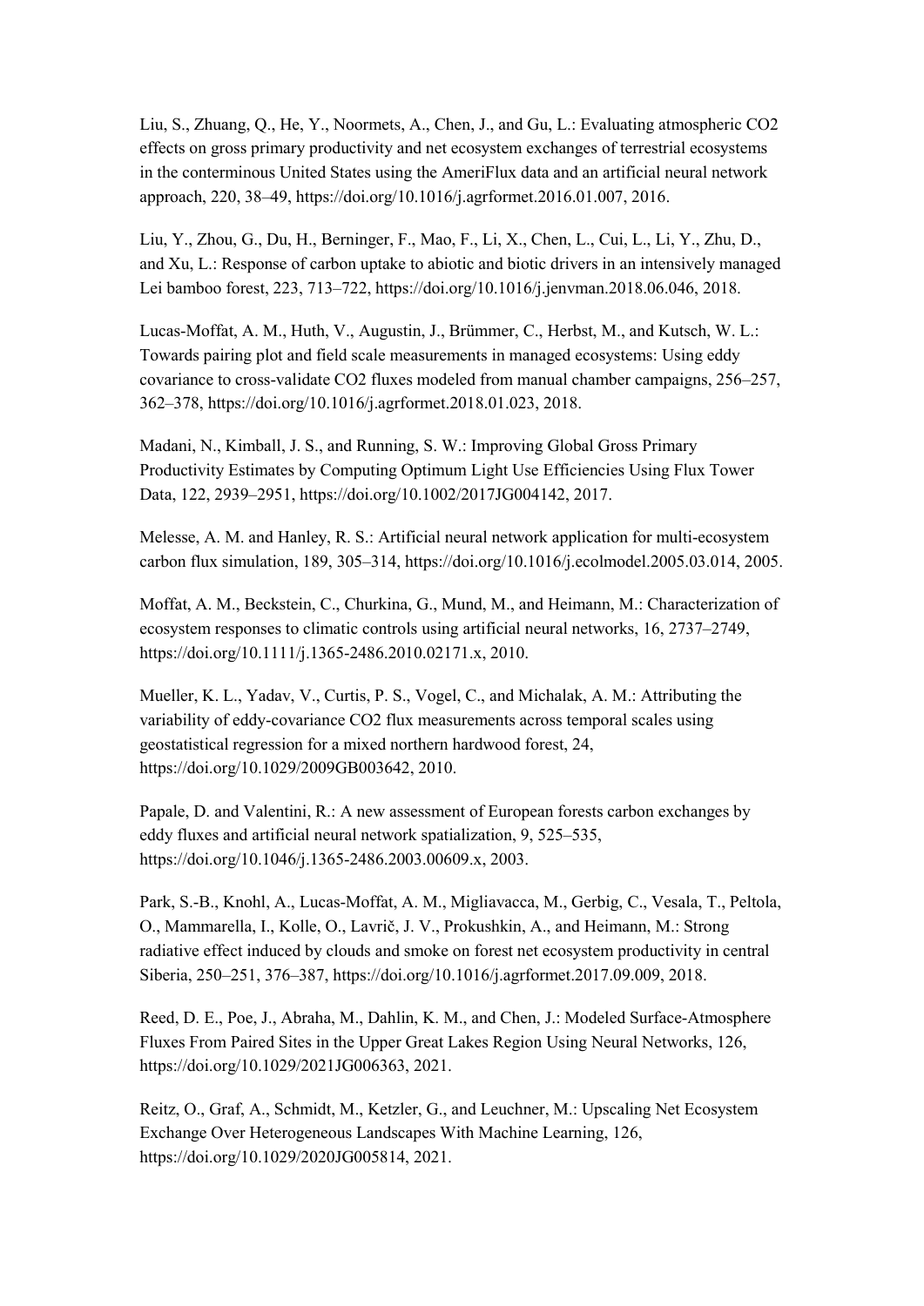Liu, S., Zhuang, Q., He, Y., Noormets, A., Chen, J., and Gu, L.: Evaluating atmospheric CO2 effects on gross primary productivity and net ecosystem exchanges of terrestrial ecosystems in the conterminous United States using the AmeriFlux data and an artificial neural network approach, 220, 38–49, https://doi.org/10.1016/j.agrformet.2016.01.007, 2016.

Liu, Y., Zhou, G., Du, H., Berninger, F., Mao, F., Li, X., Chen, L., Cui, L., Li, Y., Zhu, D., and Xu, L.: Response of carbon uptake to abiotic and biotic drivers in an intensively managed Lei bamboo forest, 223,713–722, https://doi.org/10.1016/j.jenvman.2018.06.046, 2018.

Lucas-Moffat, A. M., Huth, V., Augustin, J., Brümmer, C., Herbst, M., and Kutsch, W.L.: Towards pairing plot and field scale measurements in managed ecosystems: Using eddy covariance to cross-validate CO2 fluxes modeled from manual chamber campaigns, 256–257, 362–378, https://doi.org/10.1016/j.agrformet.2018.01.023, 2018.

Madani, N., Kimball, J. S., and Running, S. W.: Improving Global Gross Primary Productivity Estimates by Computing Optimum Light Use Efficiencies Using Flux Tower Data, 122, 2939–2951, https://doi.org/10.1002/2017JG004142, 2017.

Melesse, A. M. and Hanley, R. S.: Artificial neural network application for multi-ecosystem carbon flux simulation,189, 305–314, https://doi.org/10.1016/j.ecolmodel.2005.03.014, 2005.

Moffat, A. M., Beckstein, C., Churkina, G., Mund, M., and Heimann, M.: Characterization of ecosystem responses to climatic controls using artificial neural networks, 16, 2737–2749, https://doi.org/10.1111/j.1365-2486.2010.02171.x, 2010.

Mueller, K. L., Yadav, V., Curtis, P. S., Vogel, C., and Michalak, A. M.: Attributing the variability of eddy-covariance CO2 flux measurements across temporal scales using geostatistical regression for a mixed northern hardwood forest, 24, https://doi.org/10.1029/2009GB003642, 2010.

Papale, D. and Valentini, R.: A new assessment of European forests carbon exchanges by eddy fluxes and artificial neural network spatialization, 9, 525–535, https://doi.org/10.1046/j.1365-2486.2003.00609.x, 2003.

Park, S.-B., Knohl, A., Lucas-Moffat, A. M., Migliavacca, M., Gerbig, C., Vesala, T., Peltola, O., Mammarella, I., Kolle, O., Lavrič, J. V., Prokushkin, A., and Heimann, M.: Strong radiative effect induced by clouds and smoke on forest net ecosystem productivity in central Siberia, 250–251, 376–387, https://doi.org/10.1016/j.agrformet.2017.09.009, 2018.

Reed, D. E., Poe, J., Abraha, M., Dahlin, K. M., and Chen, J.: Modeled Surface-Atmosphere Fluxes From Paired Sites in the Upper Great Lakes Region Using Neural Networks, 126, https://doi.org/10.1029/2021JG006363, 2021.

Reitz, O., Graf, A., Schmidt, M., Ketzler, G., and Leuchner, M.: Upscaling Net Ecosystem Exchange Over Heterogeneous Landscapes With Machine Learning, 126, https://doi.org/10.1029/2020JG005814, 2021.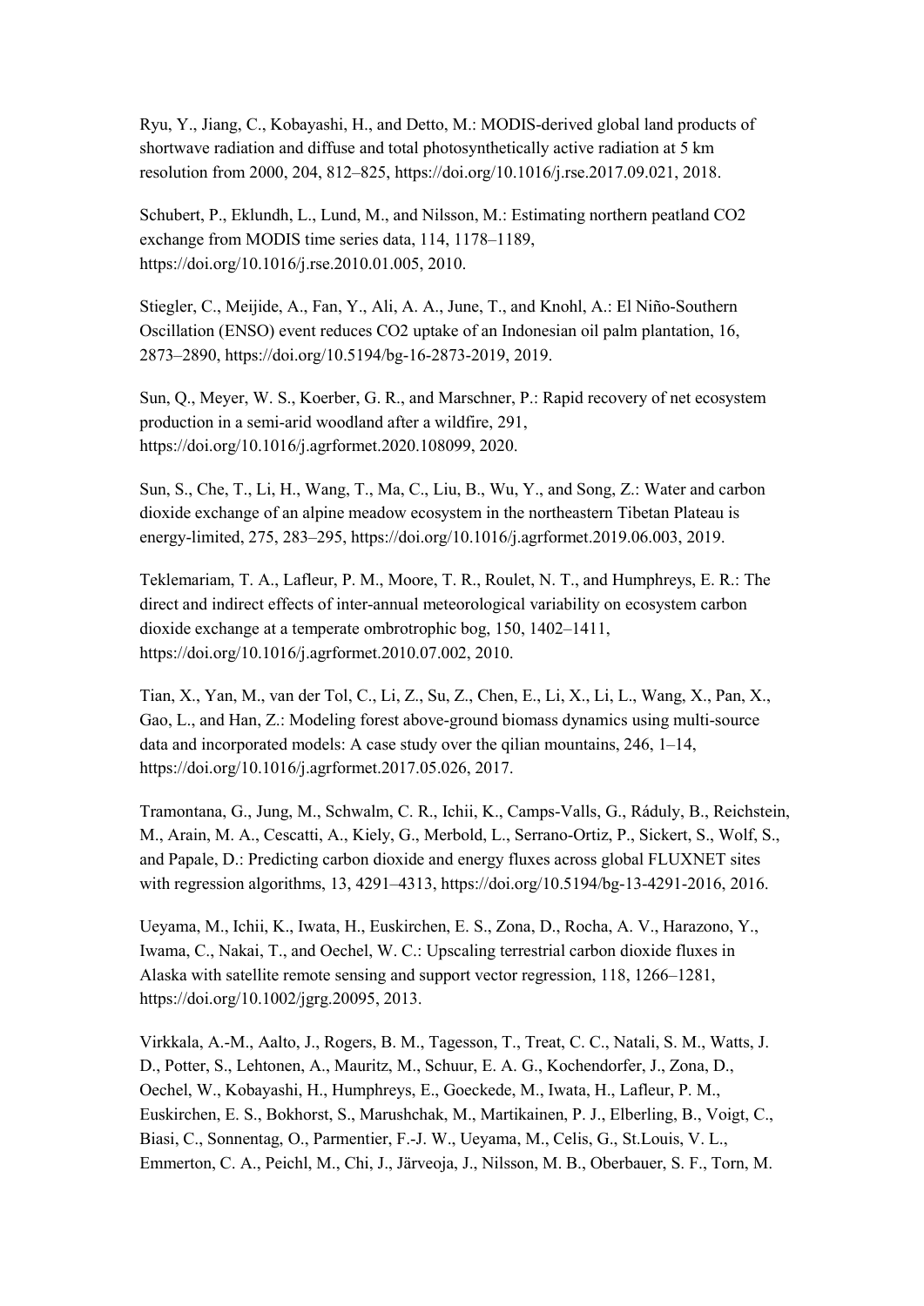Ryu, Y., Jiang, C., Kobayashi, H., and Detto, M.: MODIS-derived global land products of shortwave radiation and diffuse and total photosynthetically active radiation at 5 km resolution from 2000, 204, 812–825, https://doi.org/10.1016/j.rse.2017.09.021, 2018.

Schubert, P., Eklundh, L., Lund, M., and Nilsson, M.: Estimating northern peatland CO2 exchange from MODIS time series data, 114, 1178–1189, https://doi.org/10.1016/j.rse.2010.01.005, 2010.

Stiegler, C., Meijide, A., Fan, Y., Ali, A. A., June, T., and Knohl, A.: El Niño-Southern Oscillation (ENSO) event reduces CO2 uptake of an Indonesian oil palm plantation, 16, 2873–2890, https://doi.org/10.5194/bg-16-2873-2019, 2019.

Sun, Q., Meyer, W. S., Koerber, G. R., and Marschner, P.: Rapid recovery of net ecosystem production in a semi-arid woodland after a wildfire, 291, https://doi.org/10.1016/j.agrformet.2020.108099, 2020.

Sun, S., Che, T., Li, H., Wang, T., Ma, C., Liu, B., Wu, Y., and Song, Z.: Water and carbon dioxide exchange of an alpine meadow ecosystem in the northeastern Tibetan Plateau is energy-limited, 275, 283–295, https://doi.org/10.1016/j.agrformet.2019.06.003, 2019.

Teklemariam, T. A., Lafleur, P. M., Moore, T. R., Roulet, N. T., and Humphreys, E. R.: The direct and indirect effects of inter-annual meteorological variability on ecosystem carbon dioxide exchange at a temperate ombrotrophic bog, 150, 1402–1411, https://doi.org/10.1016/j.agrformet.2010.07.002, 2010.

Tian, X., Yan, M., van der Tol, C., Li, Z., Su, Z., Chen, E., Li, X., Li, L., Wang, X., Pan, X., Gao, L., and Han, Z.: Modeling forest above-ground biomass dynamics using multi-source data and incorporated models: A case study over the qilian mountains, 246, 1–14, https://doi.org/10.1016/j.agrformet.2017.05.026, 2017.

Tramontana, G., Jung, M., Schwalm, C. R., Ichii, K., Camps-Valls, G., Ráduly, B., Reichstein, M., Arain, M. A., Cescatti, A., Kiely, G., Merbold, L., Serrano-Ortiz, P., Sickert, S., Wolf, S., and Papale, D.: Predicting carbon dioxide and energy fluxes across global FLUXNET sites with regression algorithms, 13, 4291–4313, https://doi.org/10.5194/bg-13-4291-2016, 2016.

Ueyama, M., Ichii, K., Iwata, H., Euskirchen, E. S., Zona, D., Rocha, A. V., Harazono, Y., Iwama, C., Nakai, T., and Oechel, W.C.: Upscaling terrestrial carbon dioxide fluxes in Alaska with satellite remote sensing and support vector regression, 118, 1266–1281, https://doi.org/10.1002/jgrg.20095, 2013.

Virkkala, A.-M., Aalto, J., Rogers, B. M., Tagesson, T., Treat, C. C., Natali, S. M., Watts, J. D., Potter, S., Lehtonen, A., Mauritz, M., Schuur, E. A. G., Kochendorfer, J., Zona, D., Oechel, W., Kobayashi, H., Humphreys, E., Goeckede, M., Iwata, H., Lafleur, P. M., Euskirchen, E. S., Bokhorst, S., Marushchak, M., Martikainen, P. J., Elberling, B., Voigt, C., Biasi, C., Sonnentag, O., Parmentier, F.-J. W., Ueyama, M., Celis, G., St.Louis, V. L., Emmerton, C. A., Peichl, M., Chi, J., Järveoja, J., Nilsson, M. B., Oberbauer, S. F., Torn, M.